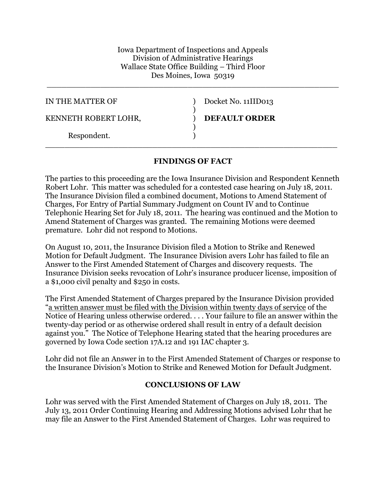Iowa Department of Inspections and Appeals Division of Administrative Hearings Wallace State Office Building – Third Floor Des Moines, Iowa 50319

\_\_\_\_\_\_\_\_\_\_\_\_\_\_\_\_\_\_\_\_\_\_\_\_\_\_\_\_\_\_\_\_\_\_\_\_\_\_\_\_\_\_\_\_\_\_\_\_\_\_\_\_\_\_\_\_\_\_\_\_

| IN THE MATTER OF     | Docket No. 11IID013  |
|----------------------|----------------------|
|                      |                      |
| KENNETH ROBERT LOHR, | <b>DEFAULT ORDER</b> |
|                      |                      |
| Respondent.          |                      |

## **FINDINGS OF FACT**

\_\_\_\_\_\_\_\_\_\_\_\_\_\_\_\_\_\_\_\_\_\_\_\_\_\_\_\_\_\_\_\_\_\_\_\_\_\_\_\_\_\_\_\_\_\_\_\_\_\_\_\_\_\_\_\_\_\_\_\_

The parties to this proceeding are the Iowa Insurance Division and Respondent Kenneth Robert Lohr. This matter was scheduled for a contested case hearing on July 18, 2011. The Insurance Division filed a combined document, Motions to Amend Statement of Charges, For Entry of Partial Summary Judgment on Count IV and to Continue Telephonic Hearing Set for July 18, 2011. The hearing was continued and the Motion to Amend Statement of Charges was granted. The remaining Motions were deemed premature. Lohr did not respond to Motions.

On August 10, 2011, the Insurance Division filed a Motion to Strike and Renewed Motion for Default Judgment. The Insurance Division avers Lohr has failed to file an Answer to the First Amended Statement of Charges and discovery requests. The Insurance Division seeks revocation of Lohr's insurance producer license, imposition of a \$1,000 civil penalty and \$250 in costs.

The First Amended Statement of Charges prepared by the Insurance Division provided "a written answer must be filed with the Division within twenty days of service of the Notice of Hearing unless otherwise ordered. . . . Your failure to file an answer within the twenty-day period or as otherwise ordered shall result in entry of a default decision against you." The Notice of Telephone Hearing stated that the hearing procedures are governed by Iowa Code section 17A.12 and 191 IAC chapter 3.

Lohr did not file an Answer in to the First Amended Statement of Charges or response to the Insurance Division's Motion to Strike and Renewed Motion for Default Judgment.

## **CONCLUSIONS OF LAW**

Lohr was served with the First Amended Statement of Charges on July 18, 2011. The July 13, 2011 Order Continuing Hearing and Addressing Motions advised Lohr that he may file an Answer to the First Amended Statement of Charges. Lohr was required to